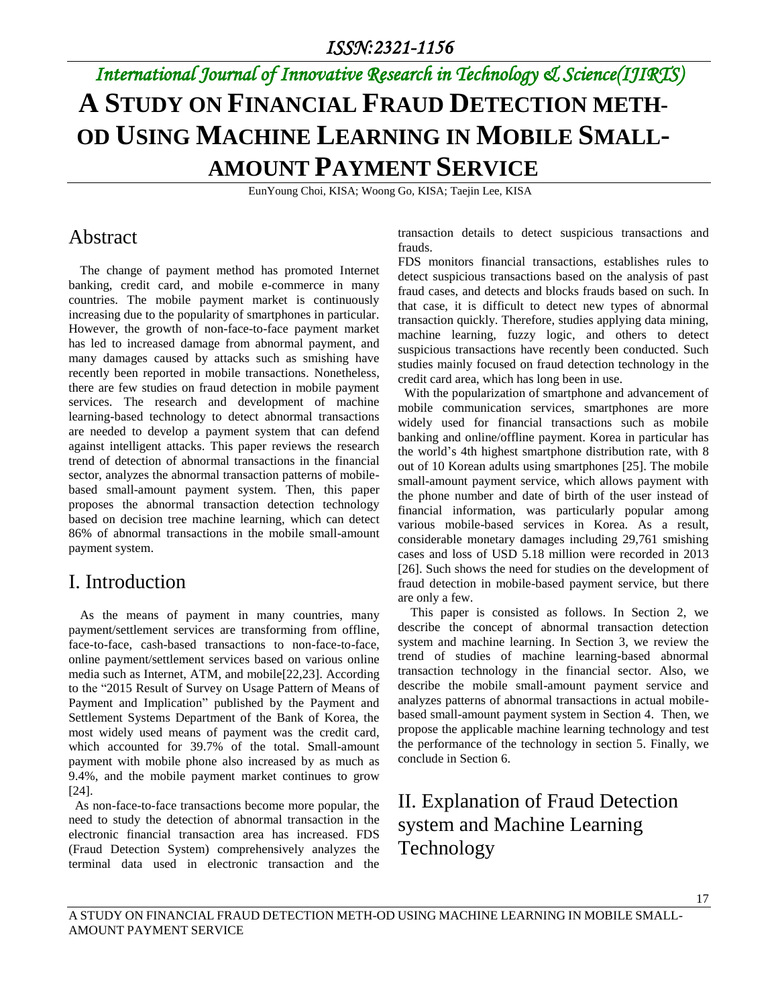# *International Journal of Innovative Research in Technology & Science(IJIRTS)* **A STUDY ON FINANCIAL FRAUD DETECTION METH-OD USING MACHINE LEARNING IN MOBILE SMALL-AMOUNT PAYMENT SERVICE**

EunYoung Choi, KISA; Woong Go, KISA; Taejin Lee, KISA

#### Abstract

The change of payment method has promoted Internet banking, credit card, and mobile e-commerce in many countries. The mobile payment market is continuously increasing due to the popularity of smartphones in particular. However, the growth of non-face-to-face payment market has led to increased damage from abnormal payment, and many damages caused by attacks such as smishing have recently been reported in mobile transactions. Nonetheless, there are few studies on fraud detection in mobile payment services. The research and development of machine learning-based technology to detect abnormal transactions are needed to develop a payment system that can defend against intelligent attacks. This paper reviews the research trend of detection of abnormal transactions in the financial sector, analyzes the abnormal transaction patterns of mobilebased small-amount payment system. Then, this paper proposes the abnormal transaction detection technology based on decision tree machine learning, which can detect 86% of abnormal transactions in the mobile small-amount payment system.

### I. Introduction

As the means of payment in many countries, many payment/settlement services are transforming from offline, face-to-face, cash-based transactions to non-face-to-face, online payment/settlement services based on various online media such as Internet, ATM, and mobile[22,23]. According to the "2015 Result of Survey on Usage Pattern of Means of Payment and Implication" published by the Payment and Settlement Systems Department of the Bank of Korea, the most widely used means of payment was the credit card, which accounted for 39.7% of the total. Small-amount payment with mobile phone also increased by as much as 9.4%, and the mobile payment market continues to grow [24].

 As non-face-to-face transactions become more popular, the need to study the detection of abnormal transaction in the electronic financial transaction area has increased. FDS (Fraud Detection System) comprehensively analyzes the terminal data used in electronic transaction and the transaction details to detect suspicious transactions and frauds.

FDS monitors financial transactions, establishes rules to detect suspicious transactions based on the analysis of past fraud cases, and detects and blocks frauds based on such. In that case, it is difficult to detect new types of abnormal transaction quickly. Therefore, studies applying data mining, machine learning, fuzzy logic, and others to detect suspicious transactions have recently been conducted. Such studies mainly focused on fraud detection technology in the credit card area, which has long been in use.

 With the popularization of smartphone and advancement of mobile communication services, smartphones are more widely used for financial transactions such as mobile banking and online/offline payment. Korea in particular has the world's 4th highest smartphone distribution rate, with 8 out of 10 Korean adults using smartphones [25]. The mobile small-amount payment service, which allows payment with the phone number and date of birth of the user instead of financial information, was particularly popular among various mobile-based services in Korea. As a result, considerable monetary damages including 29,761 smishing cases and loss of USD 5.18 million were recorded in 2013 [26]. Such shows the need for studies on the development of fraud detection in mobile-based payment service, but there are only a few.

This paper is consisted as follows. In Section 2, we describe the concept of abnormal transaction detection system and machine learning. In Section 3, we review the trend of studies of machine learning-based abnormal transaction technology in the financial sector. Also, we describe the mobile small-amount payment service and analyzes patterns of abnormal transactions in actual mobilebased small-amount payment system in Section 4. Then, we propose the applicable machine learning technology and test the performance of the technology in section 5. Finally, we conclude in Section 6.

## II. Explanation of Fraud Detection system and Machine Learning Technology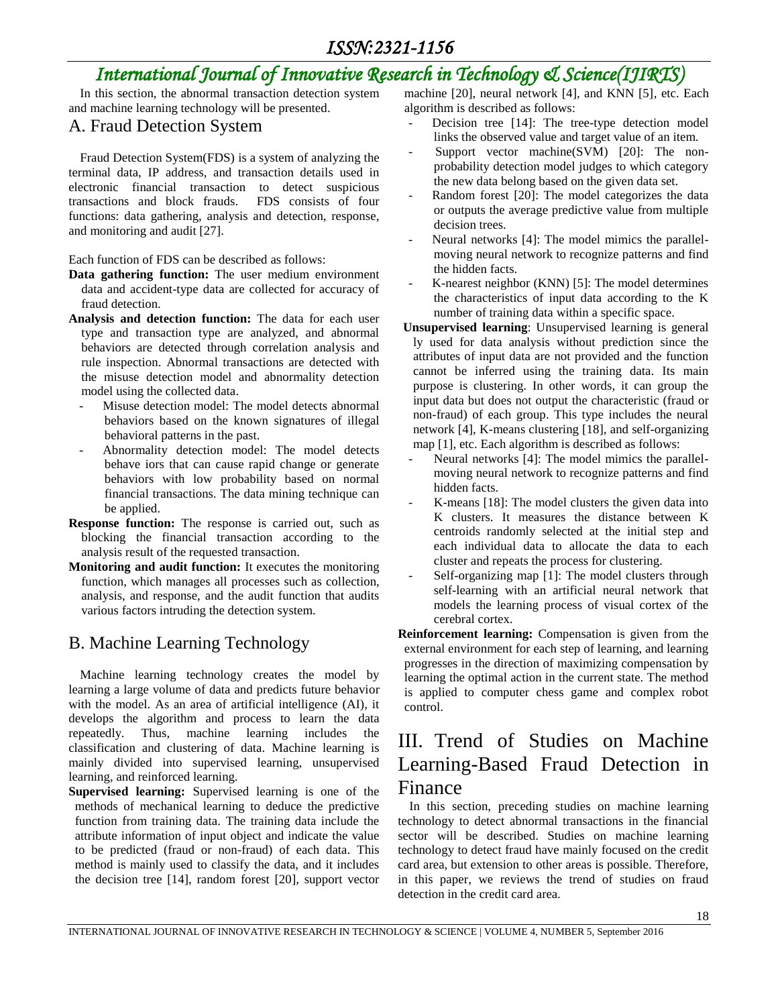In this section, the abnormal transaction detection system and machine learning technology will be presented.

#### A. Fraud Detection System

Fraud Detection System(FDS) is a system of analyzing the terminal data, IP address, and transaction details used in electronic financial transaction to detect suspicious transactions and block frauds. FDS consists of four functions: data gathering, analysis and detection, response, and monitoring and audit [27].

Each function of FDS can be described as follows:

- **Data gathering function:** The user medium environment data and accident-type data are collected for accuracy of fraud detection.
- **Analysis and detection function:** The data for each user type and transaction type are analyzed, and abnormal behaviors are detected through correlation analysis and rule inspection. Abnormal transactions are detected with the misuse detection model and abnormality detection model using the collected data.
	- Misuse detection model: The model detects abnormal behaviors based on the known signatures of illegal behavioral patterns in the past.
	- Abnormality detection model: The model detects behave iors that can cause rapid change or generate behaviors with low probability based on normal financial transactions. The data mining technique can be applied.
- **Response function:** The response is carried out, such as blocking the financial transaction according to the analysis result of the requested transaction.
- **Monitoring and audit function:** It executes the monitoring function, which manages all processes such as collection, analysis, and response, and the audit function that audits various factors intruding the detection system.

#### B. Machine Learning Technology

Machine learning technology creates the model by learning a large volume of data and predicts future behavior with the model. As an area of artificial intelligence (AI), it develops the algorithm and process to learn the data repeatedly. Thus, machine learning includes the classification and clustering of data. Machine learning is mainly divided into supervised learning, unsupervised learning, and reinforced learning.

**Supervised learning:** Supervised learning is one of the methods of mechanical learning to deduce the predictive function from training data. The training data include the attribute information of input object and indicate the value to be predicted (fraud or non-fraud) of each data. This method is mainly used to classify the data, and it includes the decision tree [14], random forest [20], support vector

machine [20], neural network [4], and KNN [5], etc. Each algorithm is described as follows:

- Decision tree [14]: The tree-type detection model links the observed value and target value of an item.
- Support vector machine(SVM) [20]: The nonprobability detection model judges to which category the new data belong based on the given data set.
- Random forest [20]: The model categorizes the data or outputs the average predictive value from multiple decision trees.
- Neural networks [4]: The model mimics the parallelmoving neural network to recognize patterns and find the hidden facts.
- K-nearest neighbor (KNN) [5]: The model determines the characteristics of input data according to the K number of training data within a specific space.
- **Unsupervised learning**: Unsupervised learning is general ly used for data analysis without prediction since the attributes of input data are not provided and the function cannot be inferred using the training data. Its main purpose is clustering. In other words, it can group the input data but does not output the characteristic (fraud or non-fraud) of each group. This type includes the neural network [4], K-means clustering [18], and self-organizing map [1], etc. Each algorithm is described as follows:
- Neural networks [4]: The model mimics the parallelmoving neural network to recognize patterns and find hidden facts.
- K-means [18]: The model clusters the given data into K clusters. It measures the distance between K centroids randomly selected at the initial step and each individual data to allocate the data to each cluster and repeats the process for clustering.
- Self-organizing map [1]: The model clusters through self-learning with an artificial neural network that models the learning process of visual cortex of the cerebral cortex.

**Reinforcement learning:** Compensation is given from the external environment for each step of learning, and learning progresses in the direction of maximizing compensation by learning the optimal action in the current state. The method is applied to computer chess game and complex robot control.

### III. Trend of Studies on Machine Learning-Based Fraud Detection in Finance

In this section, preceding studies on machine learning technology to detect abnormal transactions in the financial sector will be described. Studies on machine learning technology to detect fraud have mainly focused on the credit card area, but extension to other areas is possible. Therefore, in this paper, we reviews the trend of studies on fraud detection in the credit card area.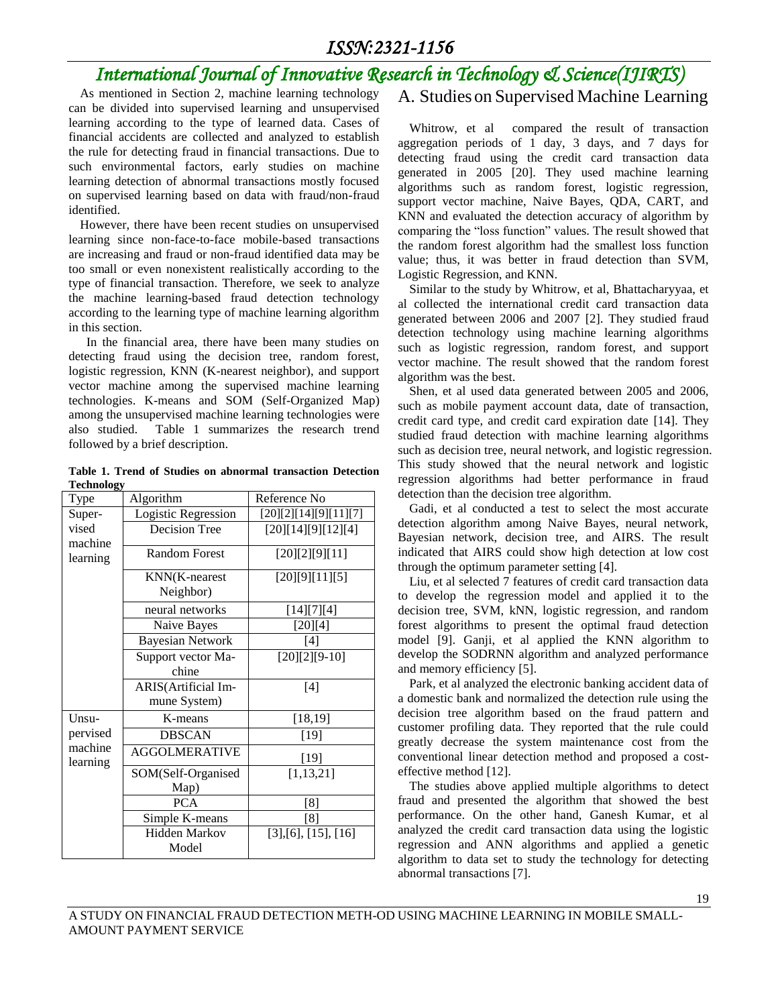#### *ISSN:2321-1156*

## *International Journal of Innovative Research in Technology & Science(IJIRTS)*

As mentioned in Section 2, machine learning technology can be divided into supervised learning and unsupervised learning according to the type of learned data. Cases of financial accidents are collected and analyzed to establish the rule for detecting fraud in financial transactions. Due to such environmental factors, early studies on machine learning detection of abnormal transactions mostly focused on supervised learning based on data with fraud/non-fraud identified.

However, there have been recent studies on unsupervised learning since non-face-to-face mobile-based transactions are increasing and fraud or non-fraud identified data may be too small or even nonexistent realistically according to the type of financial transaction. Therefore, we seek to analyze the machine learning-based fraud detection technology according to the learning type of machine learning algorithm in this section.

 In the financial area, there have been many studies on detecting fraud using the decision tree, random forest, logistic regression, KNN (K-nearest neighbor), and support vector machine among the supervised machine learning technologies. K-means and SOM (Self-Organized Map) among the unsupervised machine learning technologies were also studied. Table 1 summarizes the research trend followed by a brief description.

**Table 1. Trend of Studies on abnormal transaction Detection Technology**

| Type                | Algorithm               | Reference No          |
|---------------------|-------------------------|-----------------------|
| Super-              | Logistic Regression     | [20][2][14][9][11][7] |
| vised               | <b>Decision Tree</b>    | [20][14][9][12][4]    |
| machine<br>learning | <b>Random Forest</b>    | [20][2][9][11]        |
|                     | KNN(K-nearest           | [20][9][11][5]        |
|                     | Neighbor)               |                       |
|                     | neural networks         | [14][7][4]            |
|                     | Naive Bayes             | [20][4]               |
|                     | <b>Bayesian Network</b> | $[4]$                 |
|                     | Support vector Ma-      | $[20][2][9-10]$       |
|                     | chine                   |                       |
|                     | ARIS(Artificial Im-     | [4]                   |
|                     | mune System)            |                       |
| Unsu-               | K-means                 | [18, 19]              |
| pervised            | <b>DBSCAN</b>           | $[19]$                |
| machine<br>learning | <b>AGGOLMERATIVE</b>    | $[19]$                |
|                     | SOM(Self-Organised      | [1, 13, 21]           |
|                     | Map)                    |                       |
|                     | <b>PCA</b>              | [8]                   |
|                     | Simple K-means          | [8]                   |
|                     | <b>Hidden Markov</b>    | [3],[6],[15],[16]     |
|                     | Model                   |                       |

#### A. Studies on Supervised Machine Learning

Whitrow, et al compared the result of transaction aggregation periods of 1 day, 3 days, and 7 days for detecting fraud using the credit card transaction data generated in 2005 [20]. They used machine learning algorithms such as random forest, logistic regression, support vector machine, Naive Bayes, QDA, CART, and KNN and evaluated the detection accuracy of algorithm by comparing the "loss function" values. The result showed that the random forest algorithm had the smallest loss function value; thus, it was better in fraud detection than SVM, Logistic Regression, and KNN.

Similar to the study by Whitrow, et al, Bhattacharyyaa, et al collected the international credit card transaction data generated between 2006 and 2007 [2]. They studied fraud detection technology using machine learning algorithms such as logistic regression, random forest, and support vector machine. The result showed that the random forest algorithm was the best.

Shen, et al used data generated between 2005 and 2006, such as mobile payment account data, date of transaction, credit card type, and credit card expiration date [14]. They studied fraud detection with machine learning algorithms such as decision tree, neural network, and logistic regression. This study showed that the neural network and logistic regression algorithms had better performance in fraud detection than the decision tree algorithm.

Gadi, et al conducted a test to select the most accurate detection algorithm among Naive Bayes, neural network, Bayesian network, decision tree, and AIRS. The result indicated that AIRS could show high detection at low cost through the optimum parameter setting [4].

Liu, et al selected 7 features of credit card transaction data to develop the regression model and applied it to the decision tree, SVM, kNN, logistic regression, and random forest algorithms to present the optimal fraud detection model [9]. Ganji, et al applied the KNN algorithm to develop the SODRNN algorithm and analyzed performance and memory efficiency [5].

Park, et al analyzed the electronic banking accident data of a domestic bank and normalized the detection rule using the decision tree algorithm based on the fraud pattern and customer profiling data. They reported that the rule could greatly decrease the system maintenance cost from the conventional linear detection method and proposed a costeffective method [12].

The studies above applied multiple algorithms to detect fraud and presented the algorithm that showed the best performance. On the other hand, Ganesh Kumar, et al analyzed the credit card transaction data using the logistic regression and ANN algorithms and applied a genetic algorithm to data set to study the technology for detecting abnormal transactions [7].

19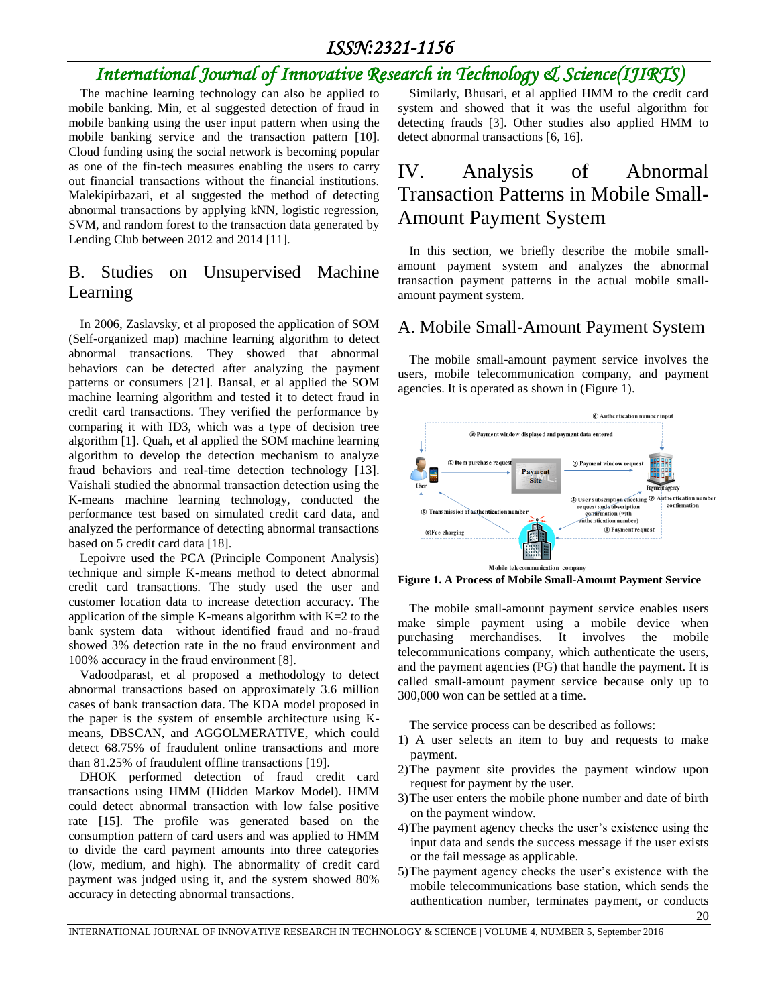#### *ISSN:2321-1156*

# *International Journal of Innovative Research in Technology & Science(IJIRTS)*

The machine learning technology can also be applied to mobile banking. Min, et al suggested detection of fraud in mobile banking using the user input pattern when using the mobile banking service and the transaction pattern [10]. Cloud funding using the social network is becoming popular as one of the fin-tech measures enabling the users to carry out financial transactions without the financial institutions. Malekipirbazari, et al suggested the method of detecting abnormal transactions by applying kNN, logistic regression, SVM, and random forest to the transaction data generated by Lending Club between 2012 and 2014 [11].

#### B. Studies on Unsupervised Machine Learning

In 2006, Zaslavsky, et al proposed the application of SOM (Self-organized map) machine learning algorithm to detect abnormal transactions. They showed that abnormal behaviors can be detected after analyzing the payment patterns or consumers [21]. Bansal, et al applied the SOM machine learning algorithm and tested it to detect fraud in credit card transactions. They verified the performance by comparing it with ID3, which was a type of decision tree algorithm [1]. Quah, et al applied the SOM machine learning algorithm to develop the detection mechanism to analyze fraud behaviors and real-time detection technology [13]. Vaishali studied the abnormal transaction detection using the K-means machine learning technology, conducted the performance test based on simulated credit card data, and analyzed the performance of detecting abnormal transactions based on 5 credit card data [18].

Lepoivre used the PCA (Principle Component Analysis) technique and simple K-means method to detect abnormal credit card transactions. The study used the user and customer location data to increase detection accuracy. The application of the simple K-means algorithm with  $K=2$  to the bank system data without identified fraud and no-fraud showed 3% detection rate in the no fraud environment and 100% accuracy in the fraud environment [8].

Vadoodparast, et al proposed a methodology to detect abnormal transactions based on approximately 3.6 million cases of bank transaction data. The KDA model proposed in the paper is the system of ensemble architecture using Kmeans, DBSCAN, and AGGOLMERATIVE, which could detect 68.75% of fraudulent online transactions and more than 81.25% of fraudulent offline transactions [19].

DHOK performed detection of fraud credit card transactions using HMM (Hidden Markov Model). HMM could detect abnormal transaction with low false positive rate [15]. The profile was generated based on the consumption pattern of card users and was applied to HMM to divide the card payment amounts into three categories (low, medium, and high). The abnormality of credit card payment was judged using it, and the system showed 80% accuracy in detecting abnormal transactions.

Similarly, Bhusari, et al applied HMM to the credit card system and showed that it was the useful algorithm for detecting frauds [3]. Other studies also applied HMM to detect abnormal transactions [6, 16].

### IV. Analysis of Abnormal Transaction Patterns in Mobile Small-Amount Payment System

In this section, we briefly describe the mobile smallamount payment system and analyzes the abnormal transaction payment patterns in the actual mobile smallamount payment system.

#### A. Mobile Small-Amount Payment System

The mobile small-amount payment service involves the users, mobile telecommunication company, and payment agencies. It is operated as shown in (Figure 1).



**Figure 1. A Process of Mobile Small-Amount Payment Service**

The mobile small-amount payment service enables users make simple payment using a mobile device when purchasing merchandises. It involves the mobile telecommunications company, which authenticate the users, and the payment agencies (PG) that handle the payment. It is called small-amount payment service because only up to 300,000 won can be settled at a time.

The service process can be described as follows:

- 1) A user selects an item to buy and requests to make payment.
- 2)The payment site provides the payment window upon request for payment by the user.
- 3)The user enters the mobile phone number and date of birth on the payment window.
- 4)The payment agency checks the user's existence using the input data and sends the success message if the user exists or the fail message as applicable.
- 5)The payment agency checks the user's existence with the mobile telecommunications base station, which sends the authentication number, terminates payment, or conducts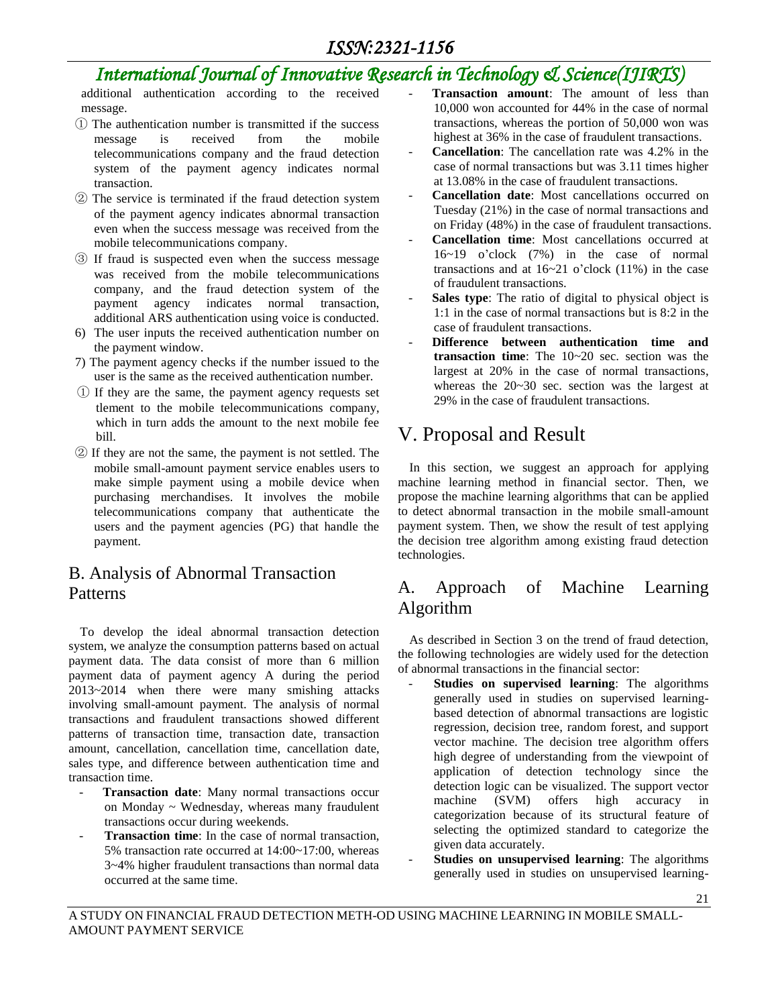additional authentication according to the received message.

- ① The authentication number is transmitted if the success message is received from the mobile telecommunications company and the fraud detection system of the payment agency indicates normal transaction.
- ② The service is terminated if the fraud detection system of the payment agency indicates abnormal transaction even when the success message was received from the mobile telecommunications company.
- ③ If fraud is suspected even when the success message was received from the mobile telecommunications company, and the fraud detection system of the payment agency indicates normal transaction, additional ARS authentication using voice is conducted.
- 6) The user inputs the received authentication number on the payment window.
- 7) The payment agency checks if the number issued to the user is the same as the received authentication number.
- ① If they are the same, the payment agency requests set tlement to the mobile telecommunications company, which in turn adds the amount to the next mobile fee bill.
- ② If they are not the same, the payment is not settled. The mobile small-amount payment service enables users to make simple payment using a mobile device when purchasing merchandises. It involves the mobile telecommunications company that authenticate the users and the payment agencies (PG) that handle the payment.

#### B. Analysis of Abnormal Transaction Patterns

To develop the ideal abnormal transaction detection system, we analyze the consumption patterns based on actual payment data. The data consist of more than 6 million payment data of payment agency A during the period 2013~2014 when there were many smishing attacks involving small-amount payment. The analysis of normal transactions and fraudulent transactions showed different patterns of transaction time, transaction date, transaction amount, cancellation, cancellation time, cancellation date, sales type, and difference between authentication time and transaction time.

- Transaction date: Many normal transactions occur on Monday ~ Wednesday, whereas many fraudulent transactions occur during weekends.
- Transaction time: In the case of normal transaction, 5% transaction rate occurred at 14:00~17:00, whereas 3~4% higher fraudulent transactions than normal data occurred at the same time.
- **Transaction amount:** The amount of less than 10,000 won accounted for 44% in the case of normal transactions, whereas the portion of 50,000 won was highest at 36% in the case of fraudulent transactions.
- Cancellation: The cancellation rate was 4.2% in the case of normal transactions but was 3.11 times higher at 13.08% in the case of fraudulent transactions.
- **Cancellation date**: Most cancellations occurred on Tuesday (21%) in the case of normal transactions and on Friday (48%) in the case of fraudulent transactions.
- **Cancellation time**: Most cancellations occurred at 16~19 o'clock (7%) in the case of normal transactions and at  $16~21$  o'clock  $(11%)$  in the case of fraudulent transactions.
- Sales type: The ratio of digital to physical object is 1:1 in the case of normal transactions but is 8:2 in the case of fraudulent transactions.
- **Difference between authentication time and transaction time**: The 10~20 sec. section was the largest at 20% in the case of normal transactions, whereas the 20~30 sec. section was the largest at 29% in the case of fraudulent transactions.

### V. Proposal and Result

In this section, we suggest an approach for applying machine learning method in financial sector. Then, we propose the machine learning algorithms that can be applied to detect abnormal transaction in the mobile small-amount payment system. Then, we show the result of test applying the decision tree algorithm among existing fraud detection technologies.

#### A. Approach of Machine Learning Algorithm

As described in Section 3 on the trend of fraud detection, the following technologies are widely used for the detection of abnormal transactions in the financial sector:

- **Studies on supervised learning**: The algorithms generally used in studies on supervised learningbased detection of abnormal transactions are logistic regression, decision tree, random forest, and support vector machine. The decision tree algorithm offers high degree of understanding from the viewpoint of application of detection technology since the detection logic can be visualized. The support vector machine (SVM) offers high accuracy in categorization because of its structural feature of selecting the optimized standard to categorize the given data accurately.
- **Studies on unsupervised learning**: The algorithms generally used in studies on unsupervised learning-

A STUDY ON FINANCIAL FRAUD DETECTION METH-OD USING MACHINE LEARNING IN MOBILE SMALL-AMOUNT PAYMENT SERVICE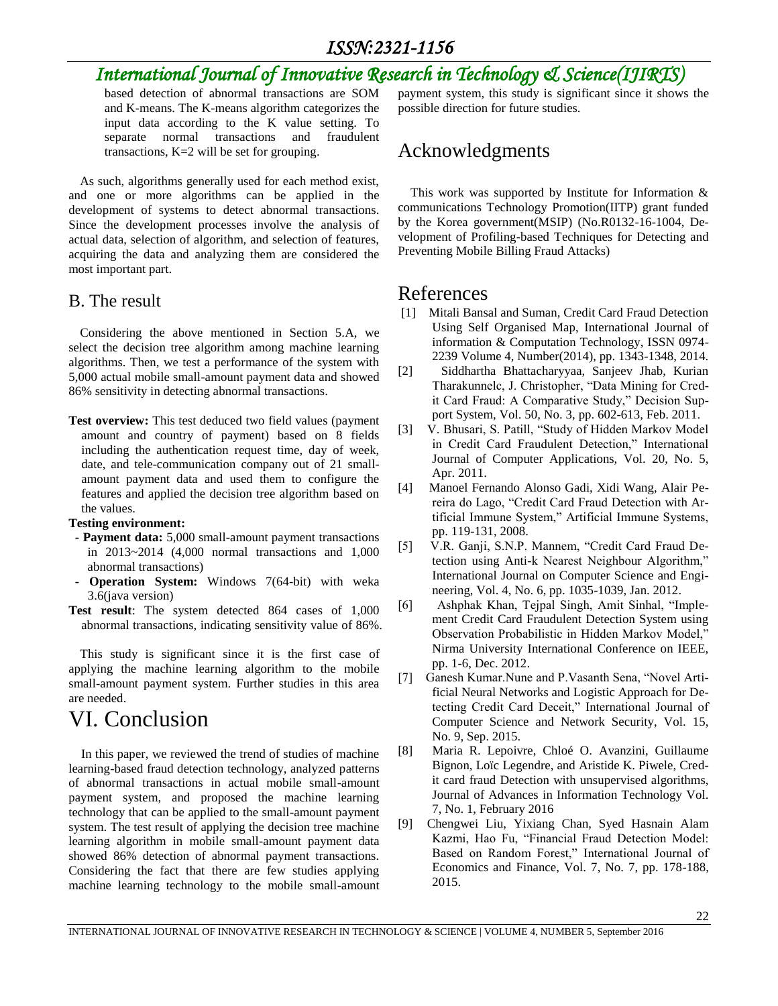based detection of abnormal transactions are SOM and K-means. The K-means algorithm categorizes the input data according to the K value setting. To separate normal transactions and fraudulent transactions, K=2 will be set for grouping.

As such, algorithms generally used for each method exist, and one or more algorithms can be applied in the development of systems to detect abnormal transactions. Since the development processes involve the analysis of actual data, selection of algorithm, and selection of features, acquiring the data and analyzing them are considered the most important part.

#### B. The result

Considering the above mentioned in Section 5.A, we select the decision tree algorithm among machine learning algorithms. Then, we test a performance of the system with 5,000 actual mobile small-amount payment data and showed 86% sensitivity in detecting abnormal transactions.

**Test overview:** This test deduced two field values (payment amount and country of payment) based on 8 fields including the authentication request time, day of week, date, and tele-communication company out of 21 smallamount payment data and used them to configure the features and applied the decision tree algorithm based on the values.

#### **Testing environment:**

- **- Payment data:** 5,000 small-amount payment transactions in 2013~2014 (4,000 normal transactions and 1,000 abnormal transactions)
- **- Operation System:** Windows 7(64-bit) with weka 3.6(java version)
- **Test result**: The system detected 864 cases of 1,000 abnormal transactions, indicating sensitivity value of 86%.

This study is significant since it is the first case of applying the machine learning algorithm to the mobile small-amount payment system. Further studies in this area are needed.

# VI. Conclusion

In this paper, we reviewed the trend of studies of machine learning-based fraud detection technology, analyzed patterns of abnormal transactions in actual mobile small-amount payment system, and proposed the machine learning technology that can be applied to the small-amount payment system. The test result of applying the decision tree machine learning algorithm in mobile small-amount payment data showed 86% detection of abnormal payment transactions. Considering the fact that there are few studies applying machine learning technology to the mobile small-amount

payment system, this study is significant since it shows the possible direction for future studies.

### Acknowledgments

This work was supported by Institute for Information & communications Technology Promotion(IITP) grant funded by the Korea government(MSIP) (No.R0132-16-1004, Development of Profiling-based Techniques for Detecting and Preventing Mobile Billing Fraud Attacks)

#### References

- [1] Mitali Bansal and Suman, Credit Card Fraud Detection Using Self Organised Map, International Journal of information & Computation Technology, ISSN 0974- 2239 Volume 4, Number(2014), pp. 1343-1348, 2014.
- [2] Siddhartha Bhattacharyyaa, Sanjeev Jhab, Kurian Tharakunnelc, J. Christopher, "Data Mining for Credit Card Fraud: A Comparative Study," Decision Support System, Vol. 50, No. 3, pp. 602-613, Feb. 2011.
- [3] V. Bhusari, S. Patill, "Study of Hidden Markov Model in Credit Card Fraudulent Detection," International Journal of Computer Applications, Vol. 20, No. 5, Apr. 2011.
- [4] Manoel Fernando Alonso Gadi, Xidi Wang, Alair Pereira do Lago, "Credit Card Fraud Detection with Artificial Immune System," Artificial Immune Systems, pp. 119-131, 2008.
- [5] V.R. Ganji, S.N.P. Mannem, "Credit Card Fraud Detection using Anti-k Nearest Neighbour Algorithm," International Journal on Computer Science and Engineering, Vol. 4, No. 6, pp. 1035-1039, Jan. 2012.
- [6] Ashphak Khan, Tejpal Singh, Amit Sinhal, "Implement Credit Card Fraudulent Detection System using Observation Probabilistic in Hidden Markov Model," Nirma University International Conference on IEEE, pp. 1-6, Dec. 2012.
- [7] Ganesh Kumar.Nune and P.Vasanth Sena, "Novel Artificial Neural Networks and Logistic Approach for Detecting Credit Card Deceit," International Journal of Computer Science and Network Security, Vol. 15, No. 9, Sep. 2015.
- [8] Maria R. Lepoivre, Chloé O. Avanzini, Guillaume Bignon, Loïc Legendre, and Aristide K. Piwele, Credit card fraud Detection with unsupervised algorithms, Journal of Advances in Information Technology Vol. 7, No. 1, February 2016
- [9] Chengwei Liu, Yixiang Chan, Syed Hasnain Alam Kazmi, Hao Fu, "Financial Fraud Detection Model: Based on Random Forest," International Journal of Economics and Finance, Vol. 7, No. 7, pp. 178-188, 2015.